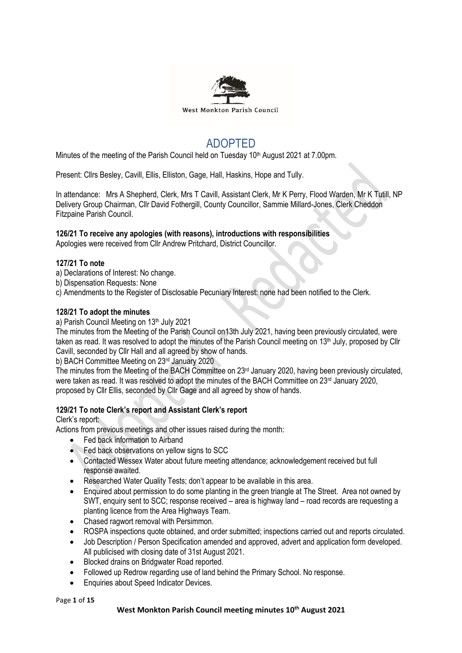

# ADOPTED

Minutes of the meeting of the Parish Council held on Tuesday 10<sup>th</sup> August 2021 at 7.00pm.

Present: Cllrs Besley, Cavill, Ellis, Elliston, Gage, Hall, Haskins, Hope and Tully.

In attendance: Mrs A Shepherd, Clerk, Mrs T Cavill, Assistant Clerk, Mr K Perry, Flood Warden, Mr K Tutill, NP Delivery Group Chairman, Cllr David Fothergill, County Councillor, Sammie Millard-Jones, Clerk Cheddon Fitzpaine Parish Council.

### **126/21 To receive any apologies (with reasons), introductions with responsibilities**

Apologies were received from Cllr Andrew Pritchard, District Councillor.

### **127/21 To note**

- a) Declarations of Interest: No change.
- b) Dispensation Requests: None

c) Amendments to the Register of Disclosable Pecuniary Interest: none had been notified to the Clerk.

### **128/21 To adopt the minutes**

a) Parish Council Meeting on 13th July 2021

The minutes from the Meeting of the Parish Council on13th July 2021, having been previously circulated, were taken as read. It was resolved to adopt the minutes of the Parish Council meeting on 13<sup>th</sup> July, proposed by Cllr Cavill, seconded by Cllr Hall and all agreed by show of hands.

b) BACH Committee Meeting on 23rd January 2020

The minutes from the Meeting of the BACH Committee on 23rd January 2020, having been previously circulated, were taken as read. It was resolved to adopt the minutes of the BACH Committee on  $23<sup>rd</sup>$  January 2020, proposed by Cllr Ellis, seconded by Cllr Gage and all agreed by show of hands.

### **129/21 To note Clerk's report and Assistant Clerk's report**

### Clerk's report:

Actions from previous meetings and other issues raised during the month:

- Fed back information to Airband
- Fed back observations on yellow signs to SCC
- Contacted Wessex Water about future meeting attendance; acknowledgement received but full response awaited.
- Researched Water Quality Tests; don't appear to be available in this area.
- Enquired about permission to do some planting in the green triangle at The Street. Area not owned by SWT, enquiry sent to SCC; response received – area is highway land – road records are requesting a planting licence from the Area Highways Team.
- Chased ragwort removal with Persimmon.
- ROSPA inspections quote obtained, and order submitted; inspections carried out and reports circulated.
- Job Description / Person Specification amended and approved, advert and application form developed. All publicised with closing date of 31st August 2021.
- Blocked drains on Bridgwater Road reported.
- Followed up Redrow regarding use of land behind the Primary School. No response.
- Enquiries about Speed Indicator Devices.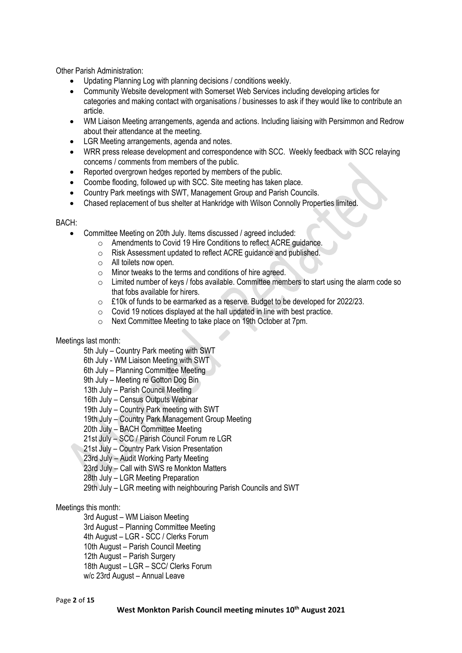Other Parish Administration:

- Updating Planning Log with planning decisions / conditions weekly.
- Community Website development with Somerset Web Services including developing articles for categories and making contact with organisations / businesses to ask if they would like to contribute an article.
- WM Liaison Meeting arrangements, agenda and actions. Including liaising with Persimmon and Redrow about their attendance at the meeting.
- LGR Meeting arrangements, agenda and notes.
- WRR press release development and correspondence with SCC. Weekly feedback with SCC relaying concerns / comments from members of the public.
- Reported overgrown hedges reported by members of the public.
- Coombe flooding, followed up with SCC. Site meeting has taken place.
- Country Park meetings with SWT, Management Group and Parish Councils.
- Chased replacement of bus shelter at Hankridge with Wilson Connolly Properties limited.

#### BACH:

- Committee Meeting on 20th July. Items discussed / agreed included:
	- o Amendments to Covid 19 Hire Conditions to reflect ACRE guidance.
	- o Risk Assessment updated to reflect ACRE guidance and published.
	- o All toilets now open.
	- o Minor tweaks to the terms and conditions of hire agreed.
	- o Limited number of keys / fobs available. Committee members to start using the alarm code so that fobs available for hirers.
	- o £10k of funds to be earmarked as a reserve. Budget to be developed for 2022/23.
	- $\circ$  Covid 19 notices displayed at the hall updated in line with best practice.
	- o Next Committee Meeting to take place on 19th October at 7pm.

### Meetings last month:

5th July – Country Park meeting with SWT

- 6th July WM Liaison Meeting with SWT
- 6th July Planning Committee Meeting
- 9th July Meeting re Gotton Dog Bin
- 13th July Parish Council Meeting
- 16th July Census Outputs Webinar
- 19th July Country Park meeting with SWT
- 19th July Country Park Management Group Meeting
- 20th July BACH Committee Meeting
- 21st July SCC / Parish Council Forum re LGR
- 21st July Country Park Vision Presentation
- 23rd July Audit Working Party Meeting
- 23rd July Call with SWS re Monkton Matters
- 28th July LGR Meeting Preparation
- 29th July LGR meeting with neighbouring Parish Councils and SWT

### Meetings this month:

3rd August – WM Liaison Meeting

3rd August – Planning Committee Meeting

4th August – LGR - SCC / Clerks Forum

10th August – Parish Council Meeting

12th August – Parish Surgery

18th August – LGR – SCC/ Clerks Forum

w/c 23rd August – Annual Leave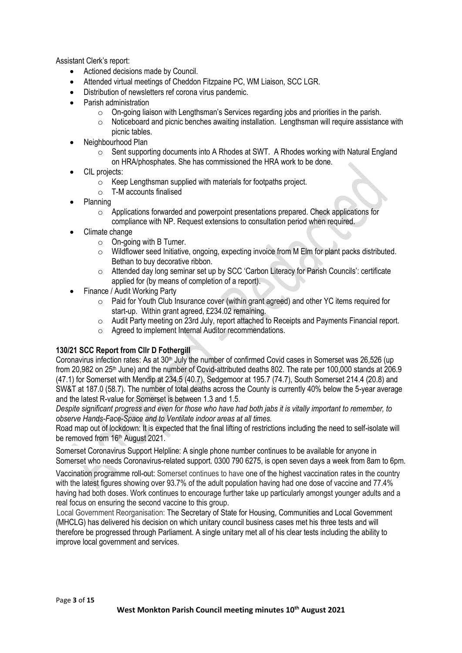Assistant Clerk's report:

- Actioned decisions made by Council.
- Attended virtual meetings of Cheddon Fitzpaine PC, WM Liaison, SCC LGR.
- Distribution of newsletters ref corona virus pandemic.
- Parish administration
	- o On-going liaison with Lengthsman's Services regarding jobs and priorities in the parish.
	- $\circ$  Noticeboard and picnic benches awaiting installation. Lengthsman will require assistance with picnic tables.
- Neighbourhood Plan
	- o Sent supporting documents into A Rhodes at SWT. A Rhodes working with Natural England on HRA/phosphates. She has commissioned the HRA work to be done.
- CIL projects:
	- o Keep Lengthsman supplied with materials for footpaths project.
	- o T-M accounts finalised
- Planning
	- o Applications forwarded and powerpoint presentations prepared. Check applications for compliance with NP. Request extensions to consultation period when required.
- Climate change
	- o On-going with B Turner.
	- o Wildflower seed Initiative, ongoing, expecting invoice from M Elm for plant packs distributed. Bethan to buy decorative ribbon.
	- o Attended day long seminar set up by SCC 'Carbon Literacy for Parish Councils': certificate applied for (by means of completion of a report).
- Finance / Audit Working Party
	- o Paid for Youth Club Insurance cover (within grant agreed) and other YC items required for start-up. Within grant agreed, £234.02 remaining.
	- o Audit Party meeting on 23rd July, report attached to Receipts and Payments Financial report.
	- o Agreed to implement Internal Auditor recommendations.

### **130/21 SCC Report from Cllr D Fothergill**

Coronavirus infection rates: As at 30<sup>th</sup> July the number of confirmed Covid cases in Somerset was 26,526 (up from 20,982 on 25<sup>th</sup> June) and the number of Covid-attributed deaths 802. The rate per 100,000 stands at 206.9 (47.1) for Somerset with Mendip at 234.5 (40.7), Sedgemoor at 195.7 (74.7), South Somerset 214.4 (20.8) and SW&T at 187.0 (58.7). The number of total deaths across the County is currently 40% below the 5-year average and the latest R-value for Somerset is between 1.3 and 1.5.

*Despite significant progress and even for those who have had both jabs it is vitally important to remember, to observe Hands-Face-Space and to Ventilate indoor areas at all times.*

Road map out of lockdown: It is expected that the final lifting of restrictions including the need to self-isolate will be removed from 16th August 2021.

Somerset Coronavirus Support Helpline: A single phone number continues to be available for anyone in Somerset who needs Coronavirus-related support. 0300 790 6275, is open seven days a week from 8am to 6pm.

Vaccination programme roll-out: Somerset continues to have one of the highest vaccination rates in the country with the latest figures showing over 93.7% of the adult population having had one dose of vaccine and 77.4% having had both doses. Work continues to encourage further take up particularly amongst younger adults and a real focus on ensuring the second vaccine to this group.

Local Government Reorganisation: The Secretary of State for Housing, Communities and Local Government (MHCLG) has delivered his decision on which unitary council business cases met his three tests and will therefore be progressed through Parliament. A single unitary met all of his clear tests including the ability to improve local government and services.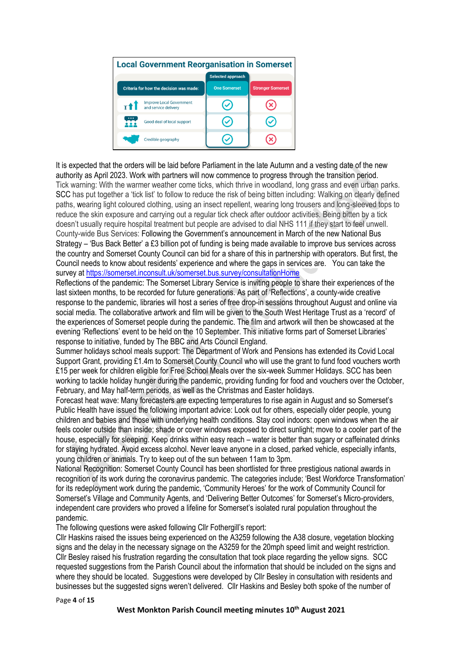| <b>Local Government Reorganisation in Somerset</b>                          |                           |                          |  |  |
|-----------------------------------------------------------------------------|---------------------------|--------------------------|--|--|
|                                                                             | <b>Selected approach</b>  |                          |  |  |
| Criteria for how the decision was made:                                     | <b>One Somerset</b>       | <b>Stronger Somerset</b> |  |  |
| <b>Improve Local Government</b><br>$r$ <sup>1</sup><br>and service delivery | $\ddot{\bm{\circ}}$       | ×.                       |  |  |
| Good deal of local support                                                  | $\breve{\bm{\mathrm{v}}}$ | $\bm{\odot}$             |  |  |
| Credible geography                                                          |                           |                          |  |  |

It is expected that the orders will be laid before Parliament in the late Autumn and a vesting date of the new authority as April 2023. Work with partners will now commence to progress through the transition period. Tick warning: With the warmer weather come ticks, which thrive in woodland, long grass and even urban parks. SCC has put together a 'tick list' to follow to reduce the risk of being bitten including: Walking on clearly defined paths, wearing light coloured clothing, using an insect repellent, wearing long trousers and long-sleeved tops to reduce the skin exposure and carrying out a regular tick check after outdoor activities. Being bitten by a tick doesn't usually require hospital treatment but people are advised to dial NHS 111 if they start to feel unwell. County-wide Bus Services: Following the Government's announcement in March of the new National Bus Strategy – 'Bus Back Better' a £3 billion pot of funding is being made available to improve bus services across the country and Somerset County Council can bid for a share of this in partnership with operators. But first, the Council needs to know about residents' experience and where the gaps in services are. You can take the survey at<https://somerset.inconsult.uk/somerset.bus.survey/consultationHome>

Reflections of the pandemic: The Somerset Library Service is inviting people to share their experiences of the last sixteen months, to be recorded for future generations. As part of 'Reflections', a county-wide creative response to the pandemic, libraries will host a series of free drop-in sessions throughout August and online via social media. The collaborative artwork and film will be given to the South West Heritage Trust as a 'record' of the experiences of Somerset people during the pandemic. The film and artwork will then be showcased at the evening 'Reflections' event to be held on the 10 September. This initiative forms part of Somerset Libraries' response to initiative, funded by The BBC and Arts Council England.

Summer holidays school meals support: The Department of Work and Pensions has extended its Covid Local Support Grant, providing £1.4m to Somerset County Council who will use the grant to fund food vouchers worth £15 per week for children eligible for Free School Meals over the six-week Summer Holidays. SCC has been working to tackle holiday hunger during the pandemic, providing funding for food and vouchers over the October, February, and May half-term periods, as well as the Christmas and Easter holidays.

Forecast heat wave: Many forecasters are expecting temperatures to rise again in August and so Somerset's Public Health have issued the following important advice: Look out for others, especially older people, young children and babies and those with underlying health conditions. Stay cool indoors: open windows when the air feels cooler outside than inside; shade or cover windows exposed to direct sunlight; move to a cooler part of the house, especially for sleeping. Keep drinks within easy reach – water is better than sugary or caffeinated drinks for staying hydrated. Avoid excess alcohol. Never leave anyone in a closed, parked vehicle, especially infants, young children or animals. Try to keep out of the sun between 11am to 3pm.

National Recognition: Somerset County Council has been shortlisted for three prestigious national awards in recognition of its work during the coronavirus pandemic. The categories include; 'Best Workforce Transformation' for its redeployment work during the pandemic, 'Community Heroes' for the work of Community Council for Somerset's Village and Community Agents, and 'Delivering Better Outcomes' for Somerset's Micro-providers, independent care providers who proved a lifeline for Somerset's isolated rural population throughout the pandemic.

The following questions were asked following Cllr Fothergill's report:

Cllr Haskins raised the issues being experienced on the A3259 following the A38 closure, vegetation blocking signs and the delay in the necessary signage on the A3259 for the 20mph speed limit and weight restriction. Cllr Besley raised his frustration regarding the consultation that took place regarding the yellow signs. SCC requested suggestions from the Parish Council about the information that should be included on the signs and where they should be located. Suggestions were developed by Cllr Besley in consultation with residents and businesses but the suggested signs weren't delivered. Cllr Haskins and Besley both spoke of the number of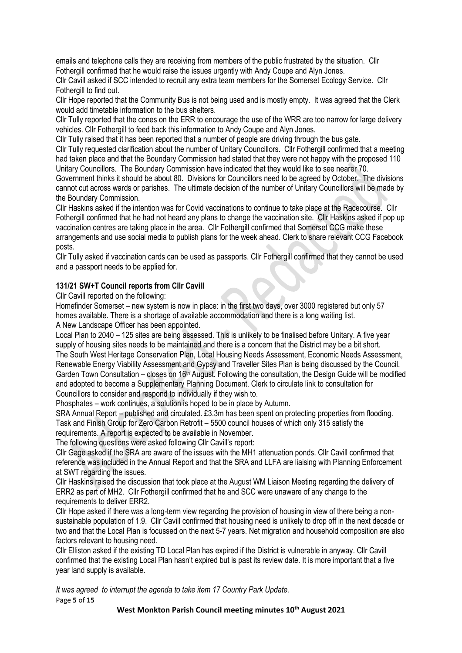emails and telephone calls they are receiving from members of the public frustrated by the situation. Cllr Fothergill confirmed that he would raise the issues urgently with Andy Coupe and Alyn Jones.

Cllr Cavill asked if SCC intended to recruit any extra team members for the Somerset Ecology Service. Cllr Fothergill to find out.

Cllr Hope reported that the Community Bus is not being used and is mostly empty. It was agreed that the Clerk would add timetable information to the bus shelters.

Cllr Tully reported that the cones on the ERR to encourage the use of the WRR are too narrow for large delivery vehicles. Cllr Fothergill to feed back this information to Andy Coupe and Alyn Jones.

Cllr Tully raised that it has been reported that a number of people are driving through the bus gate.

Cllr Tully requested clarification about the number of Unitary Councillors. Cllr Fothergill confirmed that a meeting had taken place and that the Boundary Commission had stated that they were not happy with the proposed 110 Unitary Councillors. The Boundary Commission have indicated that they would like to see nearer 70.

Government thinks it should be about 80. Divisions for Councillors need to be agreed by October. The divisions cannot cut across wards or parishes. The ultimate decision of the number of Unitary Councillors will be made by the Boundary Commission.

Cllr Haskins asked if the intention was for Covid vaccinations to continue to take place at the Racecourse. Cllr Fothergill confirmed that he had not heard any plans to change the vaccination site. Cllr Haskins asked if pop up vaccination centres are taking place in the area. Cllr Fothergill confirmed that Somerset CCG make these arrangements and use social media to publish plans for the week ahead. Clerk to share relevant CCG Facebook posts.

Cllr Tully asked if vaccination cards can be used as passports. Cllr Fothergill confirmed that they cannot be used and a passport needs to be applied for.

### **131/21 SW+T Council reports from Cllr Cavill**

Cllr Cavill reported on the following:

Homefinder Somerset – new system is now in place: in the first two days, over 3000 registered but only 57 homes available. There is a shortage of available accommodation and there is a long waiting list. A New Landscape Officer has been appointed.

Local Plan to 2040 – 125 sites are being assessed. This is unlikely to be finalised before Unitary. A five year supply of housing sites needs to be maintained and there is a concern that the District may be a bit short. The South West Heritage Conservation Plan, Local Housing Needs Assessment, Economic Needs Assessment, Renewable Energy Viability Assessment and Gypsy and Traveller Sites Plan is being discussed by the Council. Garden Town Consultation – closes on 16th August. Following the consultation, the Design Guide will be modified and adopted to become a Supplementary Planning Document. Clerk to circulate link to consultation for Councillors to consider and respond to individually if they wish to.

Phosphates – work continues, a solution is hoped to be in place by Autumn.

SRA Annual Report – published and circulated. £3.3m has been spent on protecting properties from flooding. Task and Finish Group for Zero Carbon Retrofit – 5500 council houses of which only 315 satisfy the requirements. A report is expected to be available in November.

The following questions were asked following Cllr Cavill's report:

Cllr Gage asked if the SRA are aware of the issues with the MH1 attenuation ponds. Cllr Cavill confirmed that reference was included in the Annual Report and that the SRA and LLFA are liaising with Planning Enforcement at SWT regarding the issues.

Cllr Haskins raised the discussion that took place at the August WM Liaison Meeting regarding the delivery of ERR2 as part of MH2. Cllr Fothergill confirmed that he and SCC were unaware of any change to the requirements to deliver ERR2.

Cllr Hope asked if there was a long-term view regarding the provision of housing in view of there being a nonsustainable population of 1.9. Cllr Cavill confirmed that housing need is unlikely to drop off in the next decade or two and that the Local Plan is focussed on the next 5-7 years. Net migration and household composition are also factors relevant to housing need.

Cllr Elliston asked if the existing TD Local Plan has expired if the District is vulnerable in anyway. Cllr Cavill confirmed that the existing Local Plan hasn't expired but is past its review date. It is more important that a five year land supply is available.

Page **5** of **15** *It was agreed to interrupt the agenda to take item 17 Country Park Update.*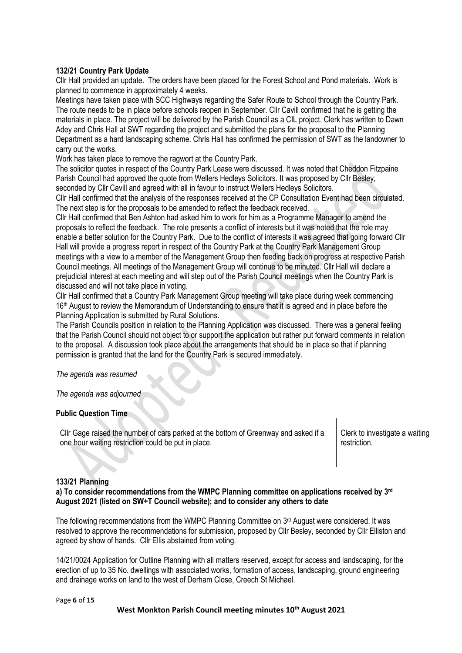### **132/21 Country Park Update**

Cllr Hall provided an update. The orders have been placed for the Forest School and Pond materials. Work is planned to commence in approximately 4 weeks.

Meetings have taken place with SCC Highways regarding the Safer Route to School through the Country Park. The route needs to be in place before schools reopen in September. Cllr Cavill confirmed that he is getting the materials in place. The project will be delivered by the Parish Council as a CIL project. Clerk has written to Dawn Adey and Chris Hall at SWT regarding the project and submitted the plans for the proposal to the Planning Department as a hard landscaping scheme. Chris Hall has confirmed the permission of SWT as the landowner to carry out the works.

Work has taken place to remove the ragwort at the Country Park.

The solicitor quotes in respect of the Country Park Lease were discussed. It was noted that Cheddon Fitzpaine Parish Council had approved the quote from Wellers Hedleys Solicitors. It was proposed by Cllr Besley, seconded by Cllr Cavill and agreed with all in favour to instruct Wellers Hedleys Solicitors.

Cllr Hall confirmed that the analysis of the responses received at the CP Consultation Event had been circulated. The next step is for the proposals to be amended to reflect the feedback received.

Cllr Hall confirmed that Ben Ashton had asked him to work for him as a Programme Manager to amend the proposals to reflect the feedback. The role presents a conflict of interests but it was noted that the role may enable a better solution for the Country Park. Due to the conflict of interests it was agreed that going forward Cllr Hall will provide a progress report in respect of the Country Park at the Country Park Management Group meetings with a view to a member of the Management Group then feeding back on progress at respective Parish Council meetings. All meetings of the Management Group will continue to be minuted. Cllr Hall will declare a prejudicial interest at each meeting and will step out of the Parish Council meetings when the Country Park is discussed and will not take place in voting.

Cllr Hall confirmed that a Country Park Management Group meeting will take place during week commencing 16th August to review the Memorandum of Understanding to ensure that it is agreed and in place before the Planning Application is submitted by Rural Solutions.

The Parish Councils position in relation to the Planning Application was discussed. There was a general feeling that the Parish Council should not object to or support the application but rather put forward comments in relation to the proposal. A discussion took place about the arrangements that should be in place so that if planning permission is granted that the land for the Country Park is secured immediately.

*The agenda was resumed*

*The agenda was adjourned*

### **Public Question Time**

Cllr Gage raised the number of cars parked at the bottom of Greenway and asked if a one hour waiting restriction could be put in place.

Clerk to investigate a waiting restriction.

### **133/21 Planning**

**a) To consider recommendations from the WMPC Planning committee on applications received by 3 rd August 2021 (listed on SW+T Council website); and to consider any others to date**

The following recommendations from the WMPC Planning Committee on 3<sup>rd</sup> August were considered. It was resolved to approve the recommendations for submission, proposed by Cllr Besley, seconded by Cllr Elliston and agreed by show of hands. Cllr Ellis abstained from voting.

14/21/0024 Application for Outline Planning with all matters reserved, except for access and landscaping, for the erection of up to 35 No. dwellings with associated works, formation of access, landscaping, ground engineering and drainage works on land to the west of Derham Close, Creech St Michael.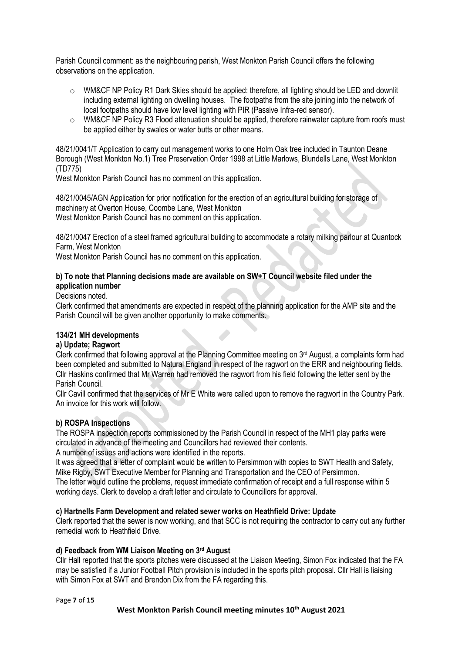Parish Council comment: as the neighbouring parish, West Monkton Parish Council offers the following observations on the application.

- o WM&CF NP Policy R1 Dark Skies should be applied: therefore, all lighting should be LED and downlit including external lighting on dwelling houses. The footpaths from the site joining into the network of local footpaths should have low level lighting with PIR (Passive Infra-red sensor).
- $\circ$  WM&CF NP Policy R3 Flood attenuation should be applied, therefore rainwater capture from roofs must be applied either by swales or water butts or other means.

48/21/0041/T Application to carry out management works to one Holm Oak tree included in Taunton Deane Borough (West Monkton No.1) Tree Preservation Order 1998 at Little Marlows, Blundells Lane, West Monkton (TD775)

West Monkton Parish Council has no comment on this application.

48/21/0045/AGN Application for prior notification for the erection of an agricultural building for storage of machinery at Overton House, Coombe Lane, West Monkton West Monkton Parish Council has no comment on this application.

48/21/0047 Erection of a steel framed agricultural building to accommodate a rotary milking parlour at Quantock Farm, West Monkton

West Monkton Parish Council has no comment on this application.

### **b) To note that Planning decisions made are available on SW+T Council website filed under the application number**

### Decisions noted

Clerk confirmed that amendments are expected in respect of the planning application for the AMP site and the Parish Council will be given another opportunity to make comments.

### **134/21 MH developments**

### **a) Update; Ragwort**

Clerk confirmed that following approval at the Planning Committee meeting on 3rd August, a complaints form had been completed and submitted to Natural England in respect of the ragwort on the ERR and neighbouring fields. Cllr Haskins confirmed that Mr Warren had removed the ragwort from his field following the letter sent by the Parish Council.

Cllr Cavill confirmed that the services of Mr E White were called upon to remove the ragwort in the Country Park. An invoice for this work will follow.

### **b) ROSPA Inspections**

The ROSPA inspection reports commissioned by the Parish Council in respect of the MH1 play parks were circulated in advance of the meeting and Councillors had reviewed their contents.

A number of issues and actions were identified in the reports.

It was agreed that a letter of complaint would be written to Persimmon with copies to SWT Health and Safety, Mike Rigby, SWT Executive Member for Planning and Transportation and the CEO of Persimmon.

The letter would outline the problems, request immediate confirmation of receipt and a full response within 5 working days. Clerk to develop a draft letter and circulate to Councillors for approval.

### **c) Hartnells Farm Development and related sewer works on Heathfield Drive: Update**

Clerk reported that the sewer is now working, and that SCC is not requiring the contractor to carry out any further remedial work to Heathfield Drive.

### **d) Feedback from WM Liaison Meeting on 3 rd August**

Cllr Hall reported that the sports pitches were discussed at the Liaison Meeting, Simon Fox indicated that the FA may be satisfied if a Junior Football Pitch provision is included in the sports pitch proposal. Cllr Hall is liaising with Simon Fox at SWT and Brendon Dix from the FA regarding this.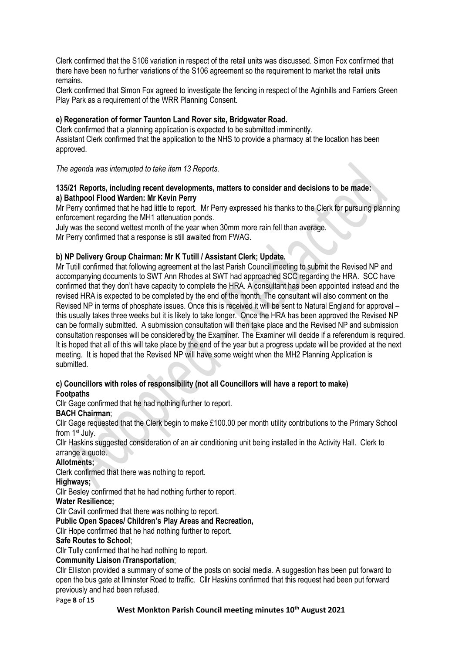Clerk confirmed that the S106 variation in respect of the retail units was discussed. Simon Fox confirmed that there have been no further variations of the S106 agreement so the requirement to market the retail units remains.

Clerk confirmed that Simon Fox agreed to investigate the fencing in respect of the Aginhills and Farriers Green Play Park as a requirement of the WRR Planning Consent.

### **e) Regeneration of former Taunton Land Rover site, Bridgwater Road.**

Clerk confirmed that a planning application is expected to be submitted imminently. Assistant Clerk confirmed that the application to the NHS to provide a pharmacy at the location has been approved.

*The agenda was interrupted to take item 13 Reports.*

### **135/21 Reports, including recent developments, matters to consider and decisions to be made: a) Bathpool Flood Warden: Mr Kevin Perry**

Mr Perry confirmed that he had little to report. Mr Perry expressed his thanks to the Clerk for pursuing planning enforcement regarding the MH1 attenuation ponds.

July was the second wettest month of the year when 30mm more rain fell than average.

Mr Perry confirmed that a response is still awaited from FWAG.

### **b) NP Delivery Group Chairman: Mr K Tutill / Assistant Clerk; Update.**

Mr Tutill confirmed that following agreement at the last Parish Council meeting to submit the Revised NP and accompanying documents to SWT Ann Rhodes at SWT had approached SCC regarding the HRA. SCC have confirmed that they don't have capacity to complete the HRA. A consultant has been appointed instead and the revised HRA is expected to be completed by the end of the month. The consultant will also comment on the Revised NP in terms of phosphate issues. Once this is received it will be sent to Natural England for approval – this usually takes three weeks but it is likely to take longer. Once the HRA has been approved the Revised NP can be formally submitted. A submission consultation will then take place and the Revised NP and submission consultation responses will be considered by the Examiner. The Examiner will decide if a referendum is required. It is hoped that all of this will take place by the end of the year but a progress update will be provided at the next meeting. It is hoped that the Revised NP will have some weight when the MH2 Planning Application is submitted.

### **c) Councillors with roles of responsibility (not all Councillors will have a report to make) Footpaths**

Cllr Gage confirmed that he had nothing further to report.

### **BACH Chairman**;

Cllr Gage requested that the Clerk begin to make £100.00 per month utility contributions to the Primary School from 1st July.

Cllr Haskins suggested consideration of an air conditioning unit being installed in the Activity Hall. Clerk to arrange a quote.

### **Allotments;**

Clerk confirmed that there was nothing to report.

### **Highways;**

Cllr Besley confirmed that he had nothing further to report.

### **Water Resilience;**

Cllr Cavill confirmed that there was nothing to report.

### **Public Open Spaces/ Children's Play Areas and Recreation,**

Cllr Hope confirmed that he had nothing further to report.

### **Safe Routes to School**;

Cllr Tully confirmed that he had nothing to report.

### **Community Liaison /Transportation**;

Cllr Elliston provided a summary of some of the posts on social media. A suggestion has been put forward to open the bus gate at Ilminster Road to traffic. Cllr Haskins confirmed that this request had been put forward previously and had been refused.

Page **8** of **15**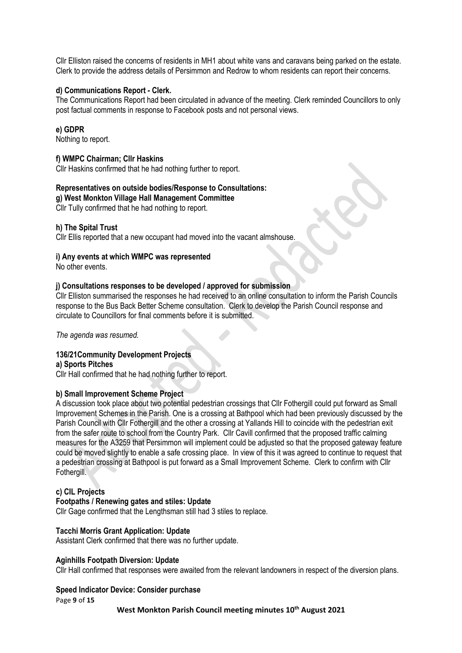Cllr Elliston raised the concerns of residents in MH1 about white vans and caravans being parked on the estate. Clerk to provide the address details of Persimmon and Redrow to whom residents can report their concerns.

### **d) Communications Report - Clerk.**

The Communications Report had been circulated in advance of the meeting. Clerk reminded Councillors to only post factual comments in response to Facebook posts and not personal views.

### **e) GDPR**

Nothing to report.

### **f) WMPC Chairman; Cllr Haskins**

Cllr Haskins confirmed that he had nothing further to report.

### **Representatives on outside bodies/Response to Consultations:**

**g) West Monkton Village Hall Management Committee**

Cllr Tully confirmed that he had nothing to report.

### **h) The Spital Trust**

Cllr Ellis reported that a new occupant had moved into the vacant almshouse.

### **i) Any events at which WMPC was represented**

No other events.

### **j) Consultations responses to be developed / approved for submission**

Cllr Elliston summarised the responses he had received to an online consultation to inform the Parish Councils response to the Bus Back Better Scheme consultation. Clerk to develop the Parish Council response and circulate to Councillors for final comments before it is submitted.

*The agenda was resumed.*

### **136/21Community Development Projects**

**a) Sports Pitches**

Cllr Hall confirmed that he had nothing further to report.

### **b) Small Improvement Scheme Project**

A discussion took place about two potential pedestrian crossings that Cllr Fothergill could put forward as Small Improvement Schemes in the Parish. One is a crossing at Bathpool which had been previously discussed by the Parish Council with Cllr Fothergill and the other a crossing at Yallands Hill to coincide with the pedestrian exit from the safer route to school from the Country Park. Cllr Cavill confirmed that the proposed traffic calming measures for the A3259 that Persimmon will implement could be adjusted so that the proposed gateway feature could be moved slightly to enable a safe crossing place. In view of this it was agreed to continue to request that a pedestrian crossing at Bathpool is put forward as a Small Improvement Scheme. Clerk to confirm with Cllr Fothergill.

### **c) CIL Projects**

### **Footpaths / Renewing gates and stiles: Update**

Cllr Gage confirmed that the Lengthsman still had 3 stiles to replace.

### **Tacchi Morris Grant Application: Update**

Assistant Clerk confirmed that there was no further update.

### **Aginhills Footpath Diversion: Update**

Cllr Hall confirmed that responses were awaited from the relevant landowners in respect of the diversion plans.

### **Speed Indicator Device: Consider purchase**

Page **9** of **15**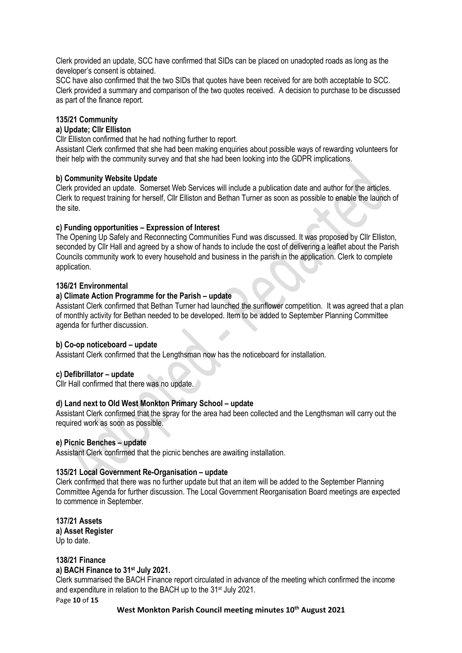Clerk provided an update, SCC have confirmed that SIDs can be placed on unadopted roads as long as the developer's consent is obtained.

SCC have also confirmed that the two SIDs that quotes have been received for are both acceptable to SCC. Clerk provided a summary and comparison of the two quotes received. A decision to purchase to be discussed as part of the finance report.

### **135/21 Community**

### **a) Update; Cllr Elliston**

Cllr Elliston confirmed that he had nothing further to report.

Assistant Clerk confirmed that she had been making enquiries about possible ways of rewarding volunteers for their help with the community survey and that she had been looking into the GDPR implications.

### **b) Community Website Update**

Clerk provided an update. Somerset Web Services will include a publication date and author for the articles. Clerk to request training for herself, Cllr Elliston and Bethan Turner as soon as possible to enable the launch of the site.

### **c) Funding opportunities – Expression of Interest**

The Opening Up Safely and Reconnecting Communities Fund was discussed. It was proposed by Cllr Elliston, seconded by Cllr Hall and agreed by a show of hands to include the cost of delivering a leaflet about the Parish Councils community work to every household and business in the parish in the application. Clerk to complete application.

### **136/21 Environmental**

### **a) Climate Action Programme for the Parish – update**

Assistant Clerk confirmed that Bethan Turner had launched the sunflower competition. It was agreed that a plan of monthly activity for Bethan needed to be developed. Item to be added to September Planning Committee agenda for further discussion.

### **b) Co-op noticeboard – update**

Assistant Clerk confirmed that the Lengthsman now has the noticeboard for installation.

### **c) Defibrillator – update**

Cllr Hall confirmed that there was no update.

### **d) Land next to Old West Monkton Primary School – update**

Assistant Clerk confirmed that the spray for the area had been collected and the Lengthsman will carry out the required work as soon as possible.

### **e) Picnic Benches – update**

Assistant Clerk confirmed that the picnic benches are awaiting installation.

### **135/21 Local Government Re-Organisation – update**

Clerk confirmed that there was no further update but that an item will be added to the September Planning Committee Agenda for further discussion. The Local Government Reorganisation Board meetings are expected to commence in September.

### **137/21 Assets**

**a) Asset Register**  Up to date.

### **138/21 Finance**

### **a) BACH Finance to 31 st July 2021.**

Clerk summarised the BACH Finance report circulated in advance of the meeting which confirmed the income and expenditure in relation to the BACH up to the 31<sup>st</sup> July 2021.

Page **10** of **15**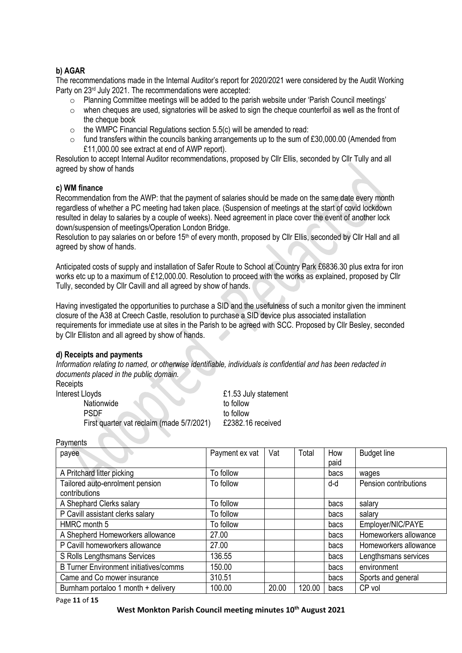## **b) AGAR**

The recommendations made in the Internal Auditor's report for 2020/2021 were considered by the Audit Working Party on 23rd July 2021. The recommendations were accepted:

- $\sim$  Planning Committee meetings will be added to the parish website under 'Parish Council meetings'
- o when cheques are used, signatories will be asked to sign the cheque counterfoil as well as the front of the cheque book
- $\circ$  the WMPC Financial Regulations section 5.5(c) will be amended to read:
- fund transfers within the councils banking arrangements up to the sum of  $£30,000.00$  (Amended from £11,000.00 see extract at end of AWP report).

Resolution to accept Internal Auditor recommendations, proposed by Cllr Ellis, seconded by Cllr Tully and all agreed by show of hands

### **c) WM finance**

Recommendation from the AWP: that the payment of salaries should be made on the same date every month regardless of whether a PC meeting had taken place. (Suspension of meetings at the start of covid lockdown resulted in delay to salaries by a couple of weeks). Need agreement in place cover the event of another lock down/suspension of meetings/Operation London Bridge.

Resolution to pay salaries on or before 15<sup>th</sup> of every month, proposed by Cllr Ellis, seconded by Cllr Hall and all agreed by show of hands.

Anticipated costs of supply and installation of Safer Route to School at Country Park £6836.30 plus extra for iron works etc up to a maximum of £12,000.00. Resolution to proceed with the works as explained, proposed by Cllr Tully, seconded by Cllr Cavill and all agreed by show of hands.

Having investigated the opportunities to purchase a SID and the usefulness of such a monitor given the imminent closure of the A38 at Creech Castle, resolution to purchase a SID device plus associated installation requirements for immediate use at sites in the Parish to be agreed with SCC. Proposed by Cllr Besley, seconded by Cllr Elliston and all agreed by show of hands.

### **d) Receipts and payments**

*Information relating to named, or otherwise identifiable, individuals is confidential and has been redacted in documents placed in the public domain.*

**Receipts** 

| Interest Lloyds                           | £1.53 July statement |
|-------------------------------------------|----------------------|
| Nationwide                                | to follow            |
| PSDF                                      | to follow            |
| First quarter vat reclaim (made 5/7/2021) | £2382.16 received    |

**Payments** payee Payment ex vat Vat Total How paid Budget line A Pritchard litter picking the state of the follow bacs wages back wages Tailored auto-enrolment pension contributions To follow d-d Pension contributions A Shephard Clerks salary **Follow has salary** bacs salary **bacs** salary P Cavill assistant clerks salary **To follow club assistant clerks** salary **bacs** salary HMRC month 5 To follow  $\vert$  To follow  $\vert$   $\vert$  bacs Employer/NIC/PAYE A Shepherd Homeworkers allowance  $\vert$  27.00  $\vert$  bacs Homeworkers allowance P Cavill homeworkers allowance  $\vert$  27.00  $\vert$   $\vert$  bacs Homeworkers allowance S Rolls Lengthsmans Services 136.55 and 136.55 bacs Lengthsmans services B Turner Environment initiatives/comms 150.00 and 150.00 bacs environment Came and Co mower insurance  $\vert$  310.51  $\vert$  bacs Sports and general Burnham portaloo 1 month + delivery | 100.00 | 20.00 | 120.00 | bacs | CP vol

#### Page **11** of **15**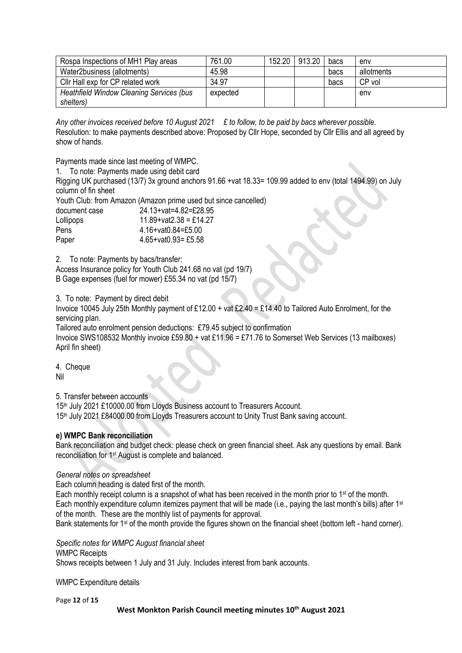| Rospa Inspections of MH1 Play areas      | 761.00   | 152.20 | 913.20 | bacs | env        |
|------------------------------------------|----------|--------|--------|------|------------|
| Water2business (allotments)              | 45.98    |        |        | bacs | allotments |
| Cllr Hall exp for CP related work        | 34.97    |        |        | bacs | CP vol     |
| Heathfield Window Cleaning Services (bus | expected |        |        |      | env        |
| shelters)                                |          |        |        |      |            |

*Any other invoices received before 10 August 2021 £ to follow, to be paid by bacs wherever possible.* Resolution: to make payments described above: Proposed by Cllr Hope, seconded by Cllr Ellis and all agreed by show of hands.

Payments made since last meeting of WMPC.

1. To note: Payments made using debit card

Rigging UK purchased (13/7) 3x ground anchors 91.66 +vat 18.33= 109.99 added to env (total 1494.99) on July column of fin sheet

Youth Club: from Amazon (Amazon prime used but since cancelled)<br>document case  $24.13 + \frac{12.47}{24}$  82=f28.95  $24.13+12+4.82=$ £28.95

| <u>uuuunun vuuv</u> | 27.10 VOL 7.02 220.00                   |
|---------------------|-----------------------------------------|
| Lollipops           | $11.89 + \text{vat2} \cdot 38 = £14.27$ |
| <b>Pens</b>         | $4.16 + \text{vat0.84} = £5.00$         |
| Paper               | $4.65 + \text{vat}0.93 = £5.58$         |

2. To note: Payments by bacs/transfer:

Access Insurance policy for Youth Club 241.68 no vat (pd 19/7) B Gage expenses (fuel for mower) £55.34 no vat (pd 15/7)

3. To note: Payment by direct debit

Invoice 10045 July 25th Monthly payment of £12.00 + vat £2.40 = £14.40 to Tailored Auto Enrolment, for the servicing plan.

Tailored auto enrolment pension deductions: £79.45 subject to confirmation Invoice SWS108532 Monthly invoice £59.80 + vat £11.96 = £71.76 to Somerset Web Services (13 mailboxes) April fin sheet)

4. Cheque Nil

5. Transfer between accounts

15<sup>th</sup> July 2021 £10000.00 from Lloyds Business account to Treasurers Account. 15<sup>th</sup> July 2021 £84000.00 from Lloyds Treasurers account to Unity Trust Bank saving account.

### **e) WMPC Bank reconciliation**

Bank reconciliation and budget check: please check on green financial sheet. Ask any questions by email. Bank reconciliation for 1st August is complete and balanced.

### *General notes on spreadsheet*

Each column heading is dated first of the month.

Each monthly receipt column is a snapshot of what has been received in the month prior to 1<sup>st</sup> of the month. Each monthly expenditure column itemizes payment that will be made (i.e., paying the last month's bills) after 1<sup>st</sup> of the month. These are the monthly list of payments for approval.

Bank statements for 1<sup>st</sup> of the month provide the figures shown on the financial sheet (bottom left - hand corner).

*Specific notes for WMPC August financial sheet*  WMPC Receipts Shows receipts between 1 July and 31 July. Includes interest from bank accounts.

WMPC Expenditure details

Page **12** of **15**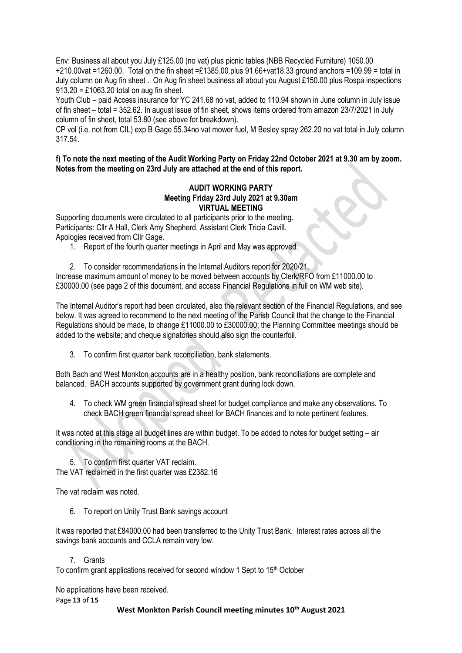Env: Business all about you July £125.00 (no vat) plus picnic tables (NBB Recycled Furniture) 1050.00 +210.00vat =1260.00. Total on the fin sheet =£1385.00.plus 91.66+vat18.33 ground anchors =109.99 = total in July column on Aug fin sheet . On Aug fin sheet business all about you August £150.00 plus Rospa inspections 913.20 = £1063.20 total on aug fin sheet.

Youth Club – paid Access insurance for YC 241.68 no vat, added to 110.94 shown in June column in July issue of fin sheet – total = 352.62. In august issue of fin sheet, shows items ordered from amazon 23/7/2021 in July column of fin sheet, total 53.80 (see above for breakdown).

CP vol (i.e. not from CIL) exp B Gage 55.34no vat mower fuel, M Besley spray 262.20 no vat total in July column 317.54.

### **f) To note the next meeting of the Audit Working Party on Friday 22nd October 2021 at 9.30 am by zoom. Notes from the meeting on 23rd July are attached at the end of this report.**

### **AUDIT WORKING PARTY Meeting Friday 23rd July 2021 at 9.30am VIRTUAL MEETING**

Supporting documents were circulated to all participants prior to the meeting. Participants: Cllr A Hall, Clerk Amy Shepherd. Assistant Clerk Tricia Cavill. Apologies received from Cllr Gage.

1. Report of the fourth quarter meetings in April and May was approved.

2. To consider recommendations in the Internal Auditors report for 2020/21. Increase maximum amount of money to be moved between accounts by Clerk/RFO from £11000.00 to £30000.00 (see page 2 of this document, and access Financial Regulations in full on WM web site).

The Internal Auditor's report had been circulated, also the relevant section of the Financial Regulations, and see below. It was agreed to recommend to the next meeting of the Parish Council that the change to the Financial Regulations should be made, to change £11000.00 to £30000.00; the Planning Committee meetings should be added to the website; and cheque signatories should also sign the counterfoil.

3. To confirm first quarter bank reconciliation, bank statements.

Both Bach and West Monkton accounts are in a healthy position, bank reconciliations are complete and balanced. BACH accounts supported by government grant during lock down.

4. To check WM green financial spread sheet for budget compliance and make any observations. To check BACH green financial spread sheet for BACH finances and to note pertinent features.

It was noted at this stage all budget lines are within budget. To be added to notes for budget setting – air conditioning in the remaining rooms at the BACH.

5. To confirm first quarter VAT reclaim. The VAT reclaimed in the first quarter was £2382.16

The vat reclaim was noted.

6. To report on Unity Trust Bank savings account

It was reported that £84000.00 had been transferred to the Unity Trust Bank. Interest rates across all the savings bank accounts and CCLA remain very low.

7. Grants

To confirm grant applications received for second window 1 Sept to 15<sup>th</sup> October

No applications have been received.

Page **13** of **15**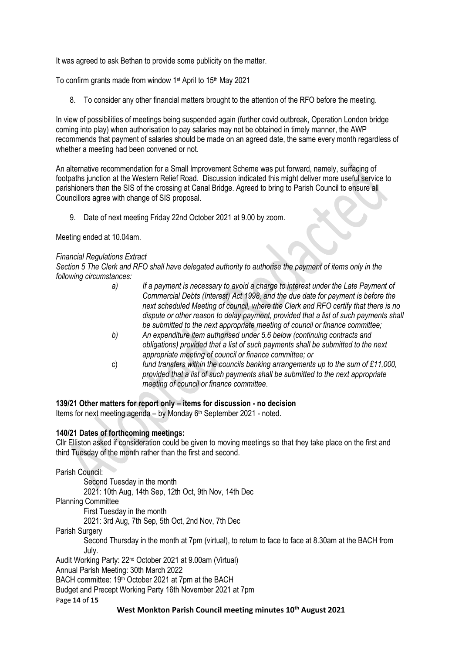It was agreed to ask Bethan to provide some publicity on the matter.

To confirm grants made from window 1<sup>st</sup> April to 15<sup>th</sup> May 2021

8. To consider any other financial matters brought to the attention of the RFO before the meeting.

In view of possibilities of meetings being suspended again (further covid outbreak, Operation London bridge coming into play) when authorisation to pay salaries may not be obtained in timely manner, the AWP recommends that payment of salaries should be made on an agreed date, the same every month regardless of whether a meeting had been convened or not.

An alternative recommendation for a Small Improvement Scheme was put forward, namely, surfacing of footpaths junction at the Western Relief Road. Discussion indicated this might deliver more useful service to parishioners than the SIS of the crossing at Canal Bridge. Agreed to bring to Parish Council to ensure all Councillors agree with change of SIS proposal.

9. Date of next meeting Friday 22nd October 2021 at 9.00 by zoom.

Meeting ended at 10.04am.

### *Financial Regulations Extract*

*Section 5 The Clerk and RFO shall have delegated authority to authorise the payment of items only in the following circumstances:*

| a, | If a payment is necessary to avoid a charge to interest under the Late Payment of     |
|----|---------------------------------------------------------------------------------------|
|    | Commercial Debts (Interest) Act 1998, and the due date for payment is before the      |
|    | next scheduled Meeting of council, where the Clerk and RFO certify that there is no   |
|    | dispute or other reason to delay payment, provided that a list of such payments shall |
|    | be submitted to the next appropriate meeting of council or finance committee;         |
|    | An expenditure item authorised under 5.6 below (continuing contracts and              |
|    | obligations) provided that a list of such payments shall be submitted to the next     |
|    | appropriate meeting of council or finance committee; or                               |
|    | fund transfers within the councils banking arrangements up to the sum of £11,000,     |
|    | provided that a list of such payments shall be submitted to the next appropriate      |
|    | meeting of council or finance committee.                                              |

### **139/21 Other matters for report only – items for discussion - no decision**

Items for next meeting agenda - by Monday 6<sup>th</sup> September 2021 - noted.

### **140/21 Dates of forthcoming meetings:**

Cllr Elliston asked if consideration could be given to moving meetings so that they take place on the first and third Tuesday of the month rather than the first and second.

Parish Council: Second Tuesday in the month 2021: 10th Aug, 14th Sep, 12th Oct, 9th Nov, 14th Dec Planning Committee First Tuesday in the month 2021: 3rd Aug, 7th Sep, 5th Oct, 2nd Nov, 7th Dec Parish Surgery Second Thursday in the month at 7pm (virtual), to return to face to face at 8.30am at the BACH from July. Audit Working Party: 22nd October 2021 at 9.00am (Virtual) Annual Parish Meeting: 30th March 2022 BACH committee: 19<sup>th</sup> October 2021 at 7pm at the BACH

Budget and Precept Working Party 16th November 2021 at 7pm

Page **14** of **15**